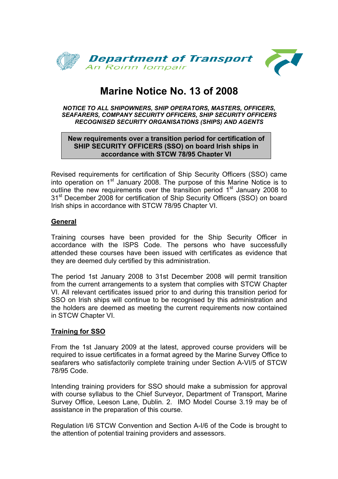

# **Marine Notice No. 13 of 2008**

#### *NOTICE TO ALL SHIPOWNERS, SHIP OPERATORS, MASTERS, OFFICERS, SEAFARERS, COMPANY SECURITY OFFICERS, SHIP SECURITY OFFICERS RECOGNISED SECURITY ORGANISATIONS (SHIPS) AND AGENTS*

# **New requirements over a transition period for certification of SHIP SECURITY OFFICERS (SSO) on board Irish ships in accordance with STCW 78/95 Chapter VI**

Revised requirements for certification of Ship Security Officers (SSO) came into operation on 1st January 2008. The purpose of this Marine Notice is to outline the new requirements over the transition period 1<sup>st</sup> January 2008 to 31<sup>st</sup> December 2008 for certification of Ship Security Officers (SSO) on board Irish ships in accordance with STCW 78/95 Chapter VI.

# **General**

Training courses have been provided for the Ship Security Officer in accordance with the ISPS Code. The persons who have successfully attended these courses have been issued with certificates as evidence that they are deemed duly certified by this administration.

The period 1st January 2008 to 31st December 2008 will permit transition from the current arrangements to a system that complies with STCW Chapter VI. All relevant certificates issued prior to and during this transition period for SSO on Irish ships will continue to be recognised by this administration and the holders are deemed as meeting the current requirements now contained in STCW Chapter VI.

# **Training for SSO**

From the 1st January 2009 at the latest, approved course providers will be required to issue certificates in a format agreed by the Marine Survey Office to seafarers who satisfactorily complete training under Section A-VI/5 of STCW 78/95 Code.

Intending training providers for SSO should make a submission for approval with course syllabus to the Chief Surveyor, Department of Transport, Marine Survey Office, Leeson Lane, Dublin. 2. IMO Model Course 3.19 may be of assistance in the preparation of this course.

Regulation I/6 STCW Convention and Section A-I/6 of the Code is brought to the attention of potential training providers and assessors.